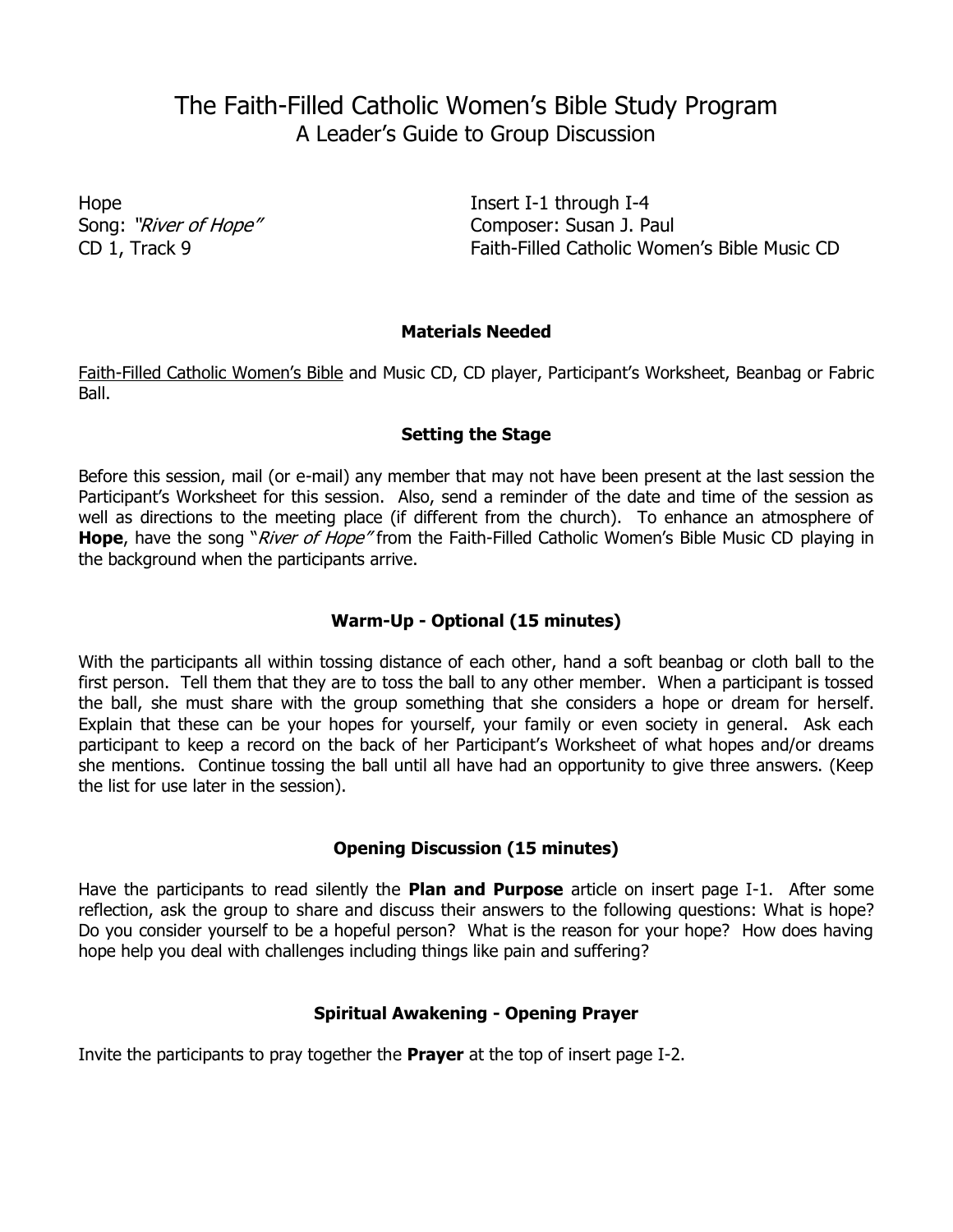# The Faith-Filled Catholic Women's Bible Study Program A Leader's Guide to Group Discussion

Hope Insert I-1 through I-4 Song: "River of Hope" Composer: Susan J. Paul CD 1, Track 9 Faith-Filled Catholic Women's Bible Music CD

#### **Materials Needed**

Faith-Filled Catholic Women's Bible and Music CD, CD player, Participant's Worksheet, Beanbag or Fabric Ball.

#### **Setting the Stage**

Before this session, mail (or e-mail) any member that may not have been present at the last session the Participant's Worksheet for this session. Also, send a reminder of the date and time of the session as well as directions to the meeting place (if different from the church). To enhance an atmosphere of **Hope**, have the song "*River of Hope"* from the Faith-Filled Catholic Women's Bible Music CD playing in the background when the participants arrive.

## **Warm-Up - Optional (15 minutes)**

With the participants all within tossing distance of each other, hand a soft beanbag or cloth ball to the first person. Tell them that they are to toss the ball to any other member. When a participant is tossed the ball, she must share with the group something that she considers a hope or dream for herself. Explain that these can be your hopes for yourself, your family or even society in general. Ask each participant to keep a record on the back of her Participant's Worksheet of what hopes and/or dreams she mentions. Continue tossing the ball until all have had an opportunity to give three answers. (Keep the list for use later in the session).

## **Opening Discussion (15 minutes)**

Have the participants to read silently the **Plan and Purpose** article on insert page I-1. After some reflection, ask the group to share and discuss their answers to the following questions: What is hope? Do you consider yourself to be a hopeful person? What is the reason for your hope? How does having hope help you deal with challenges including things like pain and suffering?

## **Spiritual Awakening - Opening Prayer**

Invite the participants to pray together the **Prayer** at the top of insert page I-2.